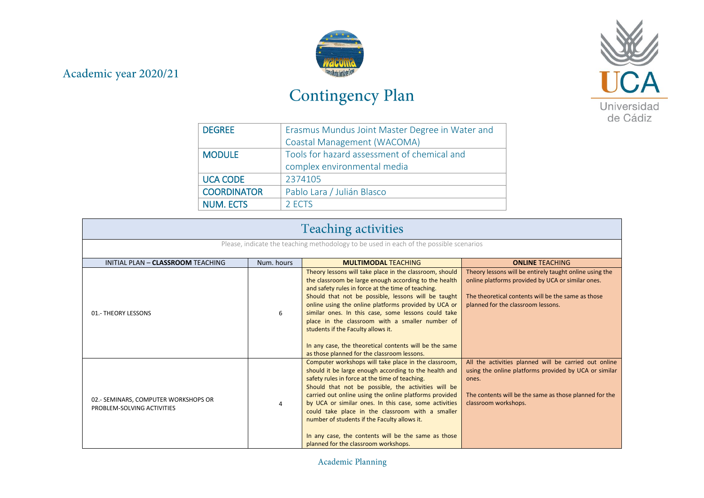## Academic year 2020/21



## Contingency Plan



| <b>DEGREE</b>      | Erasmus Mundus Joint Master Degree in Water and |  |
|--------------------|-------------------------------------------------|--|
|                    | Coastal Management (WACOMA)                     |  |
| <b>MODULE</b>      | Tools for hazard assessment of chemical and     |  |
|                    | complex environmental media                     |  |
| <b>UCA CODE</b>    | 2374105                                         |  |
| <b>COORDINATOR</b> | Pablo Lara / Julián Blasco                      |  |
| <b>NUM. ECTS</b>   | 2 ECTS                                          |  |

| <b>Teaching activities</b>                                                             |            |                                                                                                                                                                                                                                                                                                                                                                                                                                                                                                                                                |                                                                                                                                                                                                           |
|----------------------------------------------------------------------------------------|------------|------------------------------------------------------------------------------------------------------------------------------------------------------------------------------------------------------------------------------------------------------------------------------------------------------------------------------------------------------------------------------------------------------------------------------------------------------------------------------------------------------------------------------------------------|-----------------------------------------------------------------------------------------------------------------------------------------------------------------------------------------------------------|
| Please, indicate the teaching methodology to be used in each of the possible scenarios |            |                                                                                                                                                                                                                                                                                                                                                                                                                                                                                                                                                |                                                                                                                                                                                                           |
| INITIAL PLAN - CLASSROOM TEACHING                                                      | Num. hours | <b>MULTIMODAL TEACHING</b>                                                                                                                                                                                                                                                                                                                                                                                                                                                                                                                     | <b>ONLINE TEACHING</b>                                                                                                                                                                                    |
| 01.- THEORY LESSONS                                                                    | 6          | Theory lessons will take place in the classroom, should<br>the classroom be large enough according to the health<br>and safety rules in force at the time of teaching.<br>Should that not be possible, lessons will be taught<br>online using the online platforms provided by UCA or<br>similar ones. In this case, some lessons could take<br>place in the classroom with a smaller number of<br>students if the Faculty allows it.<br>In any case, the theoretical contents will be the same<br>as those planned for the classroom lessons. | Theory lessons will be entirely taught online using the<br>online platforms provided by UCA or similar ones.<br>The theoretical contents will be the same as those<br>planned for the classroom lessons.  |
| 02.- SEMINARS, COMPUTER WORKSHOPS OR<br>PROBLEM-SOLVING ACTIVITIES                     | 4          | Computer workshops will take place in the classroom,<br>should it be large enough according to the health and<br>safety rules in force at the time of teaching.<br>Should that not be possible, the activities will be<br>carried out online using the online platforms provided<br>by UCA or similar ones. In this case, some activities<br>could take place in the classroom with a smaller<br>number of students if the Faculty allows it.<br>In any case, the contents will be the same as those<br>planned for the classroom workshops.   | All the activities planned will be carried out online<br>using the online platforms provided by UCA or similar<br>ones.<br>The contents will be the same as those planned for the<br>classroom workshops. |

Academic Planning